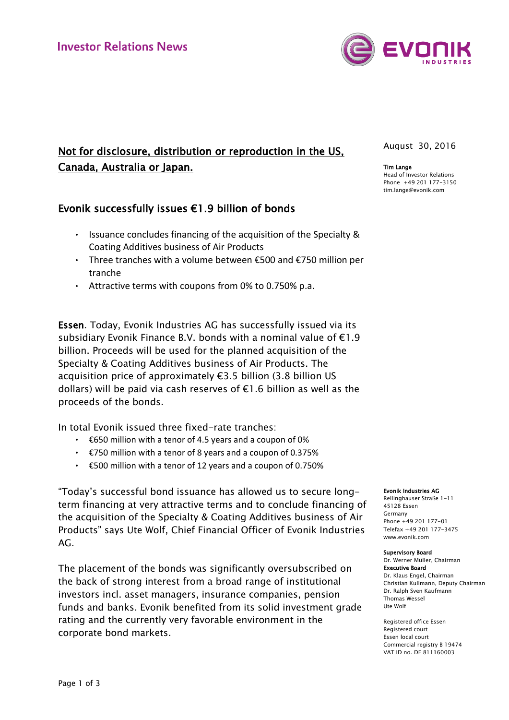# Not for disclosure, distribution or reproduction in the US, Canada, Australia or Japan.

## Evonik successfully issues €1.9 billion of bonds

- Issuance concludes financing of the acquisition of the Specialty & Coating Additives business of Air Products
- Three tranches with a volume between €500 and €750 million per tranche
- Attractive terms with coupons from 0% to 0.750% p.a.

Essen. Today, Evonik Industries AG has successfully issued via its subsidiary Evonik Finance B.V. bonds with a nominal value of €1.9 billion. Proceeds will be used for the planned acquisition of the Specialty & Coating Additives business of Air Products. The acquisition price of approximately €3.5 billion (3.8 billion US dollars) will be paid via cash reserves of €1.6 billion as well as the proceeds of the bonds.

In total Evonik issued three fixed-rate tranches:

- €650 million with a tenor of 4.5 years and a coupon of 0%
- €750 million with a tenor of 8 years and a coupon of 0.375%
- €500 million with a tenor of 12 years and a coupon of 0.750%

"Today's successful bond issuance has allowed us to secure longterm financing at very attractive terms and to conclude financing of the acquisition of the Specialty & Coating Additives business of Air Products" says Ute Wolf, Chief Financial Officer of Evonik Industries AG.

The placement of the bonds was significantly oversubscribed on the back of strong interest from a broad range of institutional investors incl. asset managers, insurance companies, pension funds and banks. Evonik benefited from its solid investment grade rating and the currently very favorable environment in the corporate bond markets.

August 30, 2016

Tim Lange Head of Investor Relations Phone +49 201 177-3150 tim.lange@evonik.com

Evonik Industries AG

Rellinghauser Straße 1-11 45128 Essen Germany Phone +49 201 177-01 Telefax +49 201 177-3475 www.evonik.com

#### Supervisory Board

Dr. Werner Müller, Chairman Executive Board Dr. Klaus Engel, Chairman Christian Kullmann, Deputy Chairman Dr. Ralph Sven Kaufmann Thomas Wessel Ute Wolf

Registered office Essen Registered court Essen local court Commercial registry B 19474 VAT ID no. DE 811160003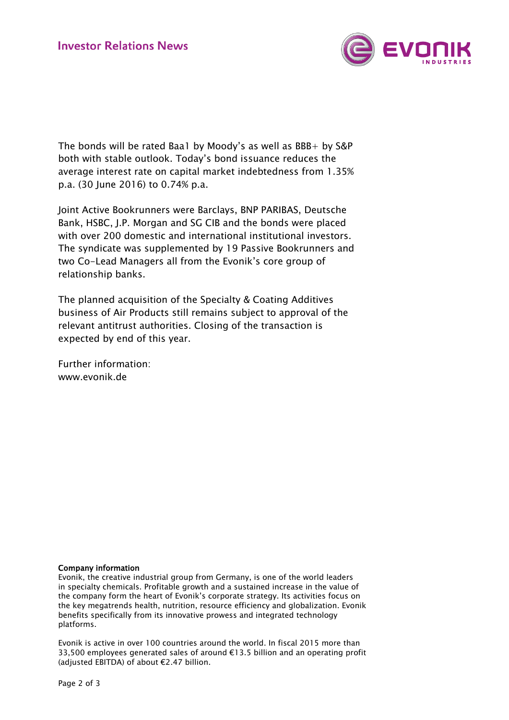

The bonds will be rated Baa1 by Moody's as well as BBB+ by S&P both with stable outlook. Today's bond issuance reduces the average interest rate on capital market indebtedness from 1.35% p.a. (30 June 2016) to 0.74% p.a.

Joint Active Bookrunners were Barclays, BNP PARIBAS, Deutsche Bank, HSBC, J.P. Morgan and SG CIB and the bonds were placed with over 200 domestic and international institutional investors. The syndicate was supplemented by 19 Passive Bookrunners and two Co-Lead Managers all from the Evonik's core group of relationship banks.

The planned acquisition of the Specialty & Coating Additives business of Air Products still remains subject to approval of the relevant antitrust authorities. Closing of the transaction is expected by end of this year.

Further information: www.evonik.de

## Company information

Evonik, the creative industrial group from Germany, is one of the world leaders in specialty chemicals. Profitable growth and a sustained increase in the value of the company form the heart of Evonik's corporate strategy. Its activities focus on the key megatrends health, nutrition, resource efficiency and globalization. Evonik benefits specifically from its innovative prowess and integrated technology platforms.

Evonik is active in over 100 countries around the world. In fiscal 2015 more than 33,500 employees generated sales of around  $\epsilon$ 13.5 billion and an operating profit (adjusted EBITDA) of about €2.47 billion.